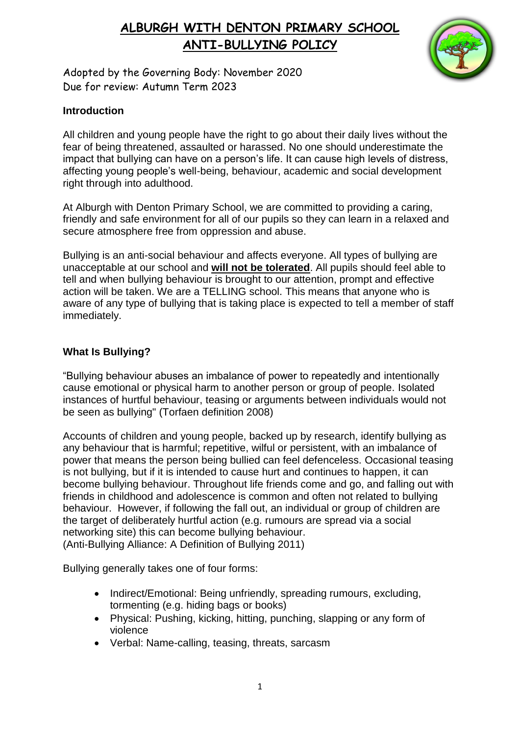

Adopted by the Governing Body: November 2020 Due for review: Autumn Term 2023

## **Introduction**

All children and young people have the right to go about their daily lives without the fear of being threatened, assaulted or harassed. No one should underestimate the impact that bullying can have on a person's life. It can cause high levels of distress, affecting young people's well-being, behaviour, academic and social development right through into adulthood.

At Alburgh with Denton Primary School, we are committed to providing a caring, friendly and safe environment for all of our pupils so they can learn in a relaxed and secure atmosphere free from oppression and abuse.

Bullying is an anti-social behaviour and affects everyone. All types of bullying are unacceptable at our school and **will not be tolerated**. All pupils should feel able to tell and when bullying behaviour is brought to our attention, prompt and effective action will be taken. We are a TELLING school. This means that anyone who is aware of any type of bullying that is taking place is expected to tell a member of staff immediately.

## **What Is Bullying?**

"Bullying behaviour abuses an imbalance of power to repeatedly and intentionally cause emotional or physical harm to another person or group of people. Isolated instances of hurtful behaviour, teasing or arguments between individuals would not be seen as bullying" (Torfaen definition 2008)

Accounts of children and young people, backed up by research, identify bullying as any behaviour that is harmful; repetitive, wilful or persistent, with an imbalance of power that means the person being bullied can feel defenceless. Occasional teasing is not bullying, but if it is intended to cause hurt and continues to happen, it can become bullying behaviour. Throughout life friends come and go, and falling out with friends in childhood and adolescence is common and often not related to bullying behaviour. However, if following the fall out, an individual or group of children are the target of deliberately hurtful action (e.g. rumours are spread via a social networking site) this can become bullying behaviour. (Anti-Bullying Alliance: A Definition of Bullying 2011)

Bullying generally takes one of four forms:

- Indirect/Emotional: Being unfriendly, spreading rumours, excluding, tormenting (e.g. hiding bags or books)
- Physical: Pushing, kicking, hitting, punching, slapping or any form of violence
- Verbal: Name-calling, teasing, threats, sarcasm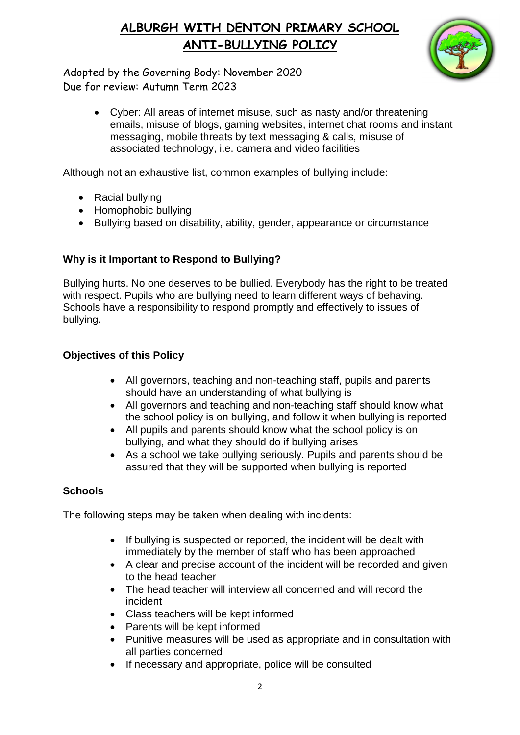

Adopted by the Governing Body: November 2020 Due for review: Autumn Term 2023

> Cyber: All areas of internet misuse, such as nasty and/or threatening emails, misuse of blogs, gaming websites, internet chat rooms and instant messaging, mobile threats by text messaging & calls, misuse of associated technology, i.e. camera and video facilities

Although not an exhaustive list, common examples of bullying include:

- Racial bullving
- Homophobic bullying
- Bullying based on disability, ability, gender, appearance or circumstance

## **Why is it Important to Respond to Bullying?**

Bullying hurts. No one deserves to be bullied. Everybody has the right to be treated with respect. Pupils who are bullying need to learn different ways of behaving. Schools have a responsibility to respond promptly and effectively to issues of bullying.

## **Objectives of this Policy**

- All governors, teaching and non-teaching staff, pupils and parents should have an understanding of what bullying is
- All governors and teaching and non-teaching staff should know what the school policy is on bullying, and follow it when bullying is reported
- All pupils and parents should know what the school policy is on bullying, and what they should do if bullying arises
- As a school we take bullying seriously. Pupils and parents should be assured that they will be supported when bullying is reported

### **Schools**

The following steps may be taken when dealing with incidents:

- If bullying is suspected or reported, the incident will be dealt with immediately by the member of staff who has been approached
- A clear and precise account of the incident will be recorded and given to the head teacher
- The head teacher will interview all concerned and will record the incident
- Class teachers will be kept informed
- Parents will be kept informed
- Punitive measures will be used as appropriate and in consultation with all parties concerned
- If necessary and appropriate, police will be consulted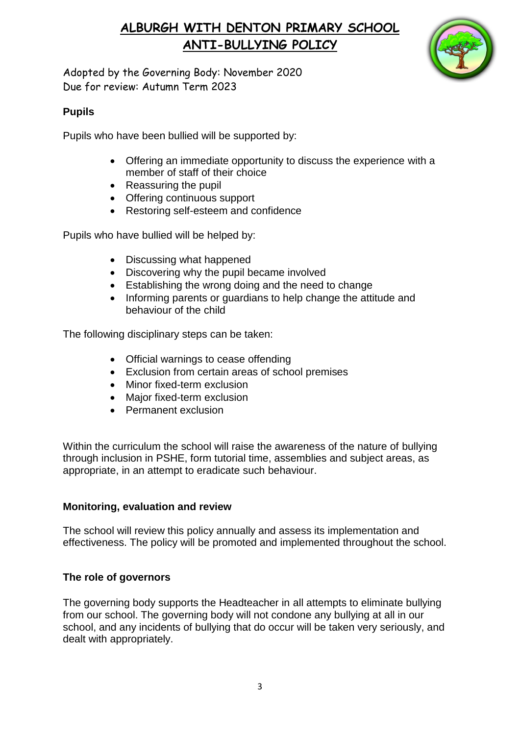

Adopted by the Governing Body: November 2020 Due for review: Autumn Term 2023

## **Pupils**

Pupils who have been bullied will be supported by:

- Offering an immediate opportunity to discuss the experience with a member of staff of their choice
- Reassuring the pupil
- Offering continuous support
- Restoring self-esteem and confidence

Pupils who have bullied will be helped by:

- Discussing what happened
- Discovering why the pupil became involved
- Establishing the wrong doing and the need to change
- Informing parents or guardians to help change the attitude and behaviour of the child

The following disciplinary steps can be taken:

- Official warnings to cease offending
- Exclusion from certain areas of school premises
- Minor fixed-term exclusion
- Major fixed-term exclusion
- **•** Permanent exclusion

Within the curriculum the school will raise the awareness of the nature of bullying through inclusion in PSHE, form tutorial time, assemblies and subject areas, as appropriate, in an attempt to eradicate such behaviour.

### **Monitoring, evaluation and review**

The school will review this policy annually and assess its implementation and effectiveness. The policy will be promoted and implemented throughout the school.

## **The role of governors**

The governing body supports the Headteacher in all attempts to eliminate bullying from our school. The governing body will not condone any bullying at all in our school, and any incidents of bullying that do occur will be taken very seriously, and dealt with appropriately.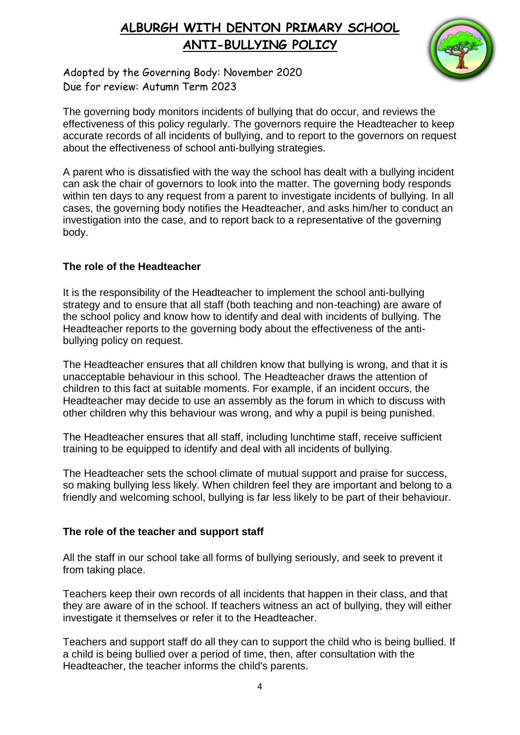

Adopted by the Governing Body: November 2020 Due for review: Autumn Term 2023

The governing body monitors incidents of bullying that do occur, and reviews the effectiveness of this policy regularly. The governors require the Headteacher to keep accurate records of all incidents of bullying, and to report to the governors on request about the effectiveness of school anti-bullying strategies.

A parent who is dissatisfied with the way the school has dealt with a bullying incident can ask the chair of governors to look into the matter. The governing body responds within ten days to any request from a parent to investigate incidents of bullying. In all cases, the governing body notifies the Headteacher, and asks him/her to conduct an investigation into the case, and to report back to a representative of the governing body.

### **The role of the Headteacher**

It is the responsibility of the Headteacher to implement the school anti-bullying strategy and to ensure that all staff (both teaching and non-teaching) are aware of the school policy and know how to identify and deal with incidents of bullying. The Headteacher reports to the governing body about the effectiveness of the antibullying policy on request.

The Headteacher ensures that all children know that bullying is wrong, and that it is unacceptable behaviour in this school. The Headteacher draws the attention of children to this fact at suitable moments. For example, if an incident occurs, the Headteacher may decide to use an assembly as the forum in which to discuss with other children why this behaviour was wrong, and why a pupil is being punished.

The Headteacher ensures that all staff, including lunchtime staff, receive sufficient training to be equipped to identify and deal with all incidents of bullying.

The Headteacher sets the school climate of mutual support and praise for success, so making bullying less likely. When children feel they are important and belong to a friendly and welcoming school, bullying is far less likely to be part of their behaviour.

### **The role of the teacher and support staff**

All the staff in our school take all forms of bullying seriously, and seek to prevent it from taking place.

Teachers keep their own records of all incidents that happen in their class, and that they are aware of in the school. If teachers witness an act of bullying, they will either investigate it themselves or refer it to the Headteacher.

Teachers and support staff do all they can to support the child who is being bullied. If a child is being bullied over a period of time, then, after consultation with the Headteacher, the teacher informs the child's parents.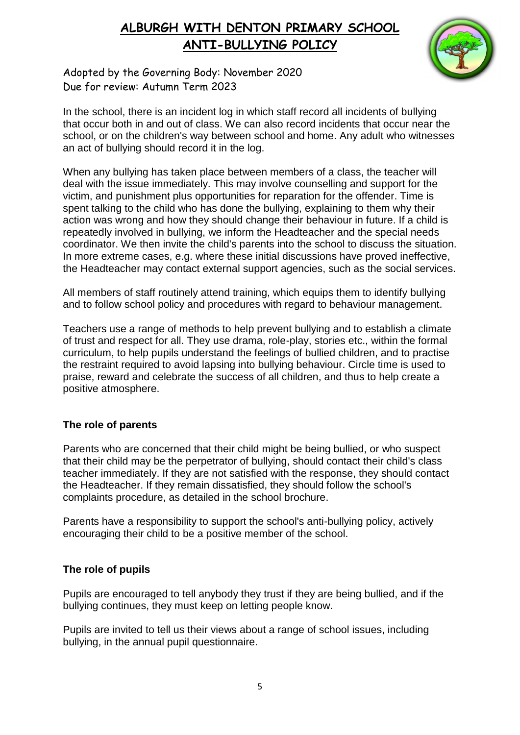

Adopted by the Governing Body: November 2020 Due for review: Autumn Term 2023

In the school, there is an incident log in which staff record all incidents of bullying that occur both in and out of class. We can also record incidents that occur near the school, or on the children's way between school and home. Any adult who witnesses an act of bullying should record it in the log.

When any bullying has taken place between members of a class, the teacher will deal with the issue immediately. This may involve counselling and support for the victim, and punishment plus opportunities for reparation for the offender. Time is spent talking to the child who has done the bullying, explaining to them why their action was wrong and how they should change their behaviour in future. If a child is repeatedly involved in bullying, we inform the Headteacher and the special needs coordinator. We then invite the child's parents into the school to discuss the situation. In more extreme cases, e.g. where these initial discussions have proved ineffective, the Headteacher may contact external support agencies, such as the social services.

All members of staff routinely attend training, which equips them to identify bullying and to follow school policy and procedures with regard to behaviour management.

Teachers use a range of methods to help prevent bullying and to establish a climate of trust and respect for all. They use drama, role-play, stories etc., within the formal curriculum, to help pupils understand the feelings of bullied children, and to practise the restraint required to avoid lapsing into bullying behaviour. Circle time is used to praise, reward and celebrate the success of all children, and thus to help create a positive atmosphere.

### **The role of parents**

Parents who are concerned that their child might be being bullied, or who suspect that their child may be the perpetrator of bullying, should contact their child's class teacher immediately. If they are not satisfied with the response, they should contact the Headteacher. If they remain dissatisfied, they should follow the school's complaints procedure, as detailed in the school brochure.

Parents have a responsibility to support the school's anti-bullying policy, actively encouraging their child to be a positive member of the school.

### **The role of pupils**

Pupils are encouraged to tell anybody they trust if they are being bullied, and if the bullying continues, they must keep on letting people know.

Pupils are invited to tell us their views about a range of school issues, including bullying, in the annual pupil questionnaire.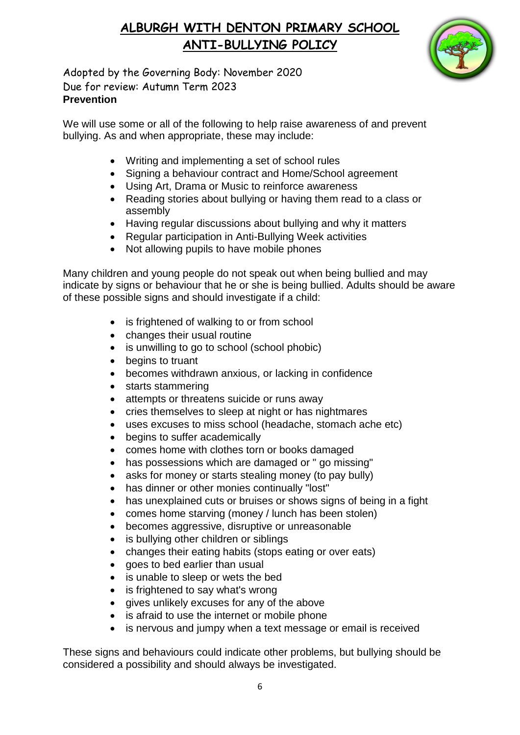

Adopted by the Governing Body: November 2020 Due for review: Autumn Term 2023 **Prevention** 

We will use some or all of the following to help raise awareness of and prevent bullying. As and when appropriate, these may include:

- Writing and implementing a set of school rules
- Signing a behaviour contract and Home/School agreement
- Using Art, Drama or Music to reinforce awareness
- Reading stories about bullying or having them read to a class or assembly
- Having regular discussions about bullying and why it matters
- Regular participation in Anti-Bullying Week activities
- Not allowing pupils to have mobile phones

Many children and young people do not speak out when being bullied and may indicate by signs or behaviour that he or she is being bullied. Adults should be aware of these possible signs and should investigate if a child:

- is frightened of walking to or from school
- changes their usual routine
- is unwilling to go to school (school phobic)
- begins to truant
- becomes withdrawn anxious, or lacking in confidence
- starts stammering
- attempts or threatens suicide or runs away
- cries themselves to sleep at night or has nightmares
- uses excuses to miss school (headache, stomach ache etc)
- begins to suffer academically
- comes home with clothes torn or books damaged
- has possessions which are damaged or " go missing"
- asks for money or starts stealing money (to pay bully)
- has dinner or other monies continually "lost"
- has unexplained cuts or bruises or shows signs of being in a fight
- comes home starving (money / lunch has been stolen)
- becomes aggressive, disruptive or unreasonable
- is bullying other children or siblings
- changes their eating habits (stops eating or over eats)
- goes to bed earlier than usual
- is unable to sleep or wets the bed
- is frightened to say what's wrong
- gives unlikely excuses for any of the above
- is afraid to use the internet or mobile phone
- is nervous and jumpy when a text message or email is received

These signs and behaviours could indicate other problems, but bullying should be considered a possibility and should always be investigated.